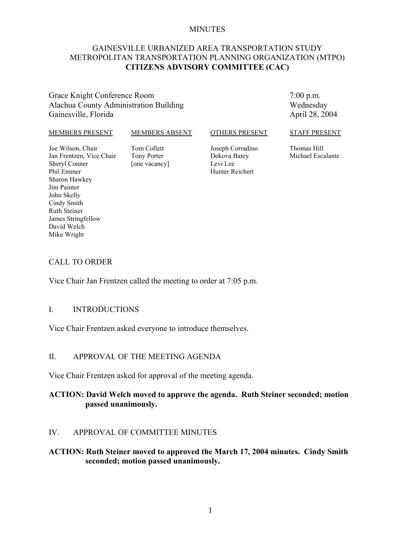#### MINUTES

## GAINESVILLE URBANIZED AREA TRANSPORTATION STUDY METROPOLITAN TRANSPORTATION PLANNING ORGANIZATION (MTPO) **CITIZENS ADVISORY COMMITTEE (CAC)**

### Grace Knight Conference Room Alachua County Administration Building Gainesville, Florida

7:00 p.m. Wednesday April 28, 2004

#### MEMBERS PRESENT

#### MEMBERS ABSENT

#### OTHERS PRESENT

Joe Wilson, Chair Jan Frentzen, Vice Chair Sheryl Conner Phil Emmer Sharon Hawkey Jim Painter John Skelly Cindy Smith Ruth Steiner James Stringfellow David Welch Mike Wright

Tom Collett Tony Porter [one vacancy]

Joseph Corradino Dekova Batey Levi Lee Hunter Reichert

#### STAFF PRESENT

Thomas Hill Michael Escalante

# CALL TO ORDER

Vice Chair Jan Frentzen called the meeting to order at 7:05 p.m.

### I. INTRODUCTIONS

Vice Chair Frentzen asked everyone to introduce themselves.

#### II. APPROVAL OF THE MEETING AGENDA

Vice Chair Frentzen asked for approval of the meeting agenda.

## **ACTION: David Welch moved to approve the agenda. Ruth Steiner seconded; motion passed unanimously.**

## IV. APPROVAL OF COMMITTEE MINUTES

## **ACTION: Ruth Steiner moved to approved the March 17, 2004 minutes. Cindy Smith seconded; motion passed unanimously.**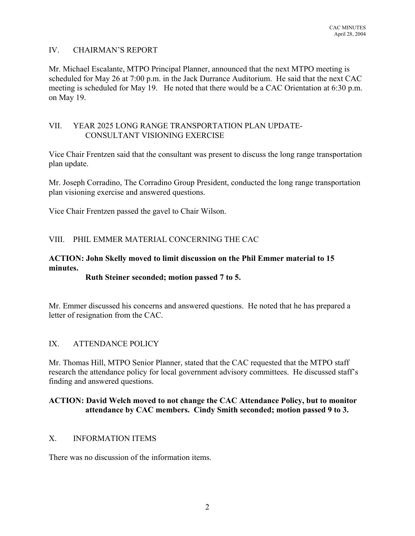## IV. CHAIRMAN'S REPORT

Mr. Michael Escalante, MTPO Principal Planner, announced that the next MTPO meeting is scheduled for May 26 at 7:00 p.m. in the Jack Durrance Auditorium. He said that the next CAC meeting is scheduled for May 19. He noted that there would be a CAC Orientation at 6:30 p.m. on May 19.

## VII. YEAR 2025 LONG RANGE TRANSPORTATION PLAN UPDATE-CONSULTANT VISIONING EXERCISE

Vice Chair Frentzen said that the consultant was present to discuss the long range transportation plan update.

Mr. Joseph Corradino, The Corradino Group President, conducted the long range transportation plan visioning exercise and answered questions.

Vice Chair Frentzen passed the gavel to Chair Wilson.

## VIII. PHIL EMMER MATERIAL CONCERNING THE CAC

## **ACTION: John Skelly moved to limit discussion on the Phil Emmer material to 15 minutes.**

### **Ruth Steiner seconded; motion passed 7 to 5.**

Mr. Emmer discussed his concerns and answered questions. He noted that he has prepared a letter of resignation from the CAC.

### IX. ATTENDANCE POLICY

Mr. Thomas Hill, MTPO Senior Planner, stated that the CAC requested that the MTPO staff research the attendance policy for local government advisory committees. He discussed staff's finding and answered questions.

## **ACTION: David Welch moved to not change the CAC Attendance Policy, but to monitor attendance by CAC members. Cindy Smith seconded; motion passed 9 to 3.**

### X. INFORMATION ITEMS

There was no discussion of the information items.